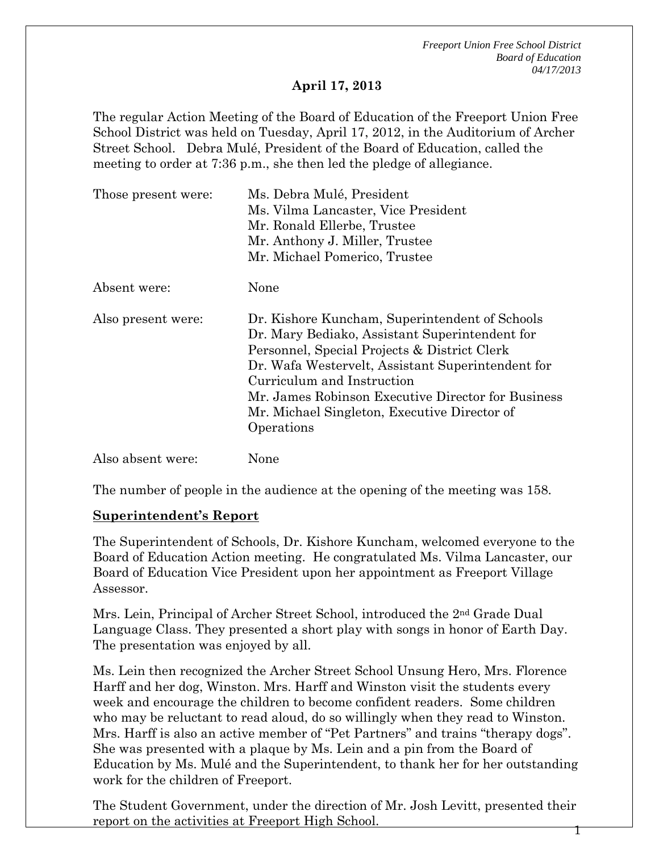*Freeport Union Free School District Board of Education 04/17/2013* 

#### **April 17, 2013**

The regular Action Meeting of the Board of Education of the Freeport Union Free School District was held on Tuesday, April 17, 2012, in the Auditorium of Archer Street School. Debra Mulé, President of the Board of Education, called the meeting to order at 7:36 p.m., she then led the pledge of allegiance.

| Those present were: | Ms. Debra Mulé, President<br>Ms. Vilma Lancaster, Vice President                                                                                                                                                                                                                                                                                        |
|---------------------|---------------------------------------------------------------------------------------------------------------------------------------------------------------------------------------------------------------------------------------------------------------------------------------------------------------------------------------------------------|
|                     | Mr. Ronald Ellerbe, Trustee                                                                                                                                                                                                                                                                                                                             |
|                     | Mr. Anthony J. Miller, Trustee                                                                                                                                                                                                                                                                                                                          |
|                     | Mr. Michael Pomerico, Trustee                                                                                                                                                                                                                                                                                                                           |
| Absent were:        | None                                                                                                                                                                                                                                                                                                                                                    |
| Also present were:  | Dr. Kishore Kuncham, Superintendent of Schools<br>Dr. Mary Bediako, Assistant Superintendent for<br>Personnel, Special Projects & District Clerk<br>Dr. Wafa Westervelt, Assistant Superintendent for<br>Curriculum and Instruction<br>Mr. James Robinson Executive Director for Business<br>Mr. Michael Singleton, Executive Director of<br>Operations |
| Also absent were:   | None                                                                                                                                                                                                                                                                                                                                                    |

The number of people in the audience at the opening of the meeting was 158.

#### **Superintendent's Report**

The Superintendent of Schools, Dr. Kishore Kuncham, welcomed everyone to the Board of Education Action meeting. He congratulated Ms. Vilma Lancaster, our Board of Education Vice President upon her appointment as Freeport Village Assessor.

Mrs. Lein, Principal of Archer Street School, introduced the 2nd Grade Dual Language Class. They presented a short play with songs in honor of Earth Day. The presentation was enjoyed by all.

Ms. Lein then recognized the Archer Street School Unsung Hero, Mrs. Florence Harff and her dog, Winston. Mrs. Harff and Winston visit the students every week and encourage the children to become confident readers. Some children who may be reluctant to read aloud, do so willingly when they read to Winston. Mrs. Harff is also an active member of "Pet Partners" and trains "therapy dogs". She was presented with a plaque by Ms. Lein and a pin from the Board of Education by Ms. Mulé and the Superintendent, to thank her for her outstanding work for the children of Freeport.

1 The Student Government, under the direction of Mr. Josh Levitt, presented their report on the activities at Freeport High School.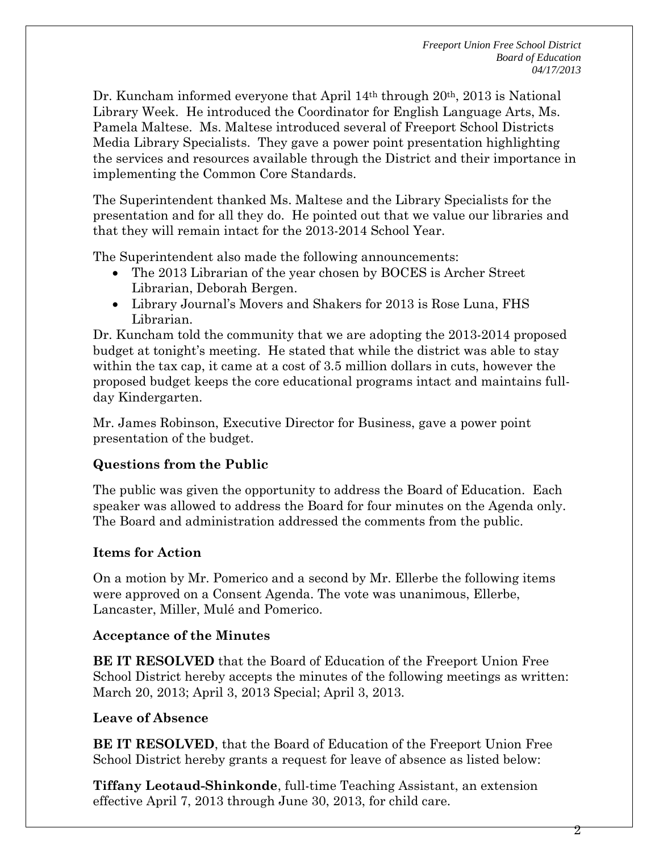Dr. Kuncham informed everyone that April  $14<sup>th</sup>$  through  $20<sup>th</sup>$ ,  $2013$  is National Library Week. He introduced the Coordinator for English Language Arts, Ms. Pamela Maltese. Ms. Maltese introduced several of Freeport School Districts Media Library Specialists. They gave a power point presentation highlighting the services and resources available through the District and their importance in implementing the Common Core Standards.

The Superintendent thanked Ms. Maltese and the Library Specialists for the presentation and for all they do. He pointed out that we value our libraries and that they will remain intact for the 2013-2014 School Year.

The Superintendent also made the following announcements:

- The 2013 Librarian of the year chosen by BOCES is Archer Street Librarian, Deborah Bergen.
- Library Journal's Movers and Shakers for 2013 is Rose Luna, FHS Librarian.

Dr. Kuncham told the community that we are adopting the 2013-2014 proposed budget at tonight's meeting. He stated that while the district was able to stay within the tax cap, it came at a cost of 3.5 million dollars in cuts, however the proposed budget keeps the core educational programs intact and maintains fullday Kindergarten.

Mr. James Robinson, Executive Director for Business, gave a power point presentation of the budget.

# **Questions from the Public**

The public was given the opportunity to address the Board of Education. Each speaker was allowed to address the Board for four minutes on the Agenda only. The Board and administration addressed the comments from the public.

### **Items for Action**

On a motion by Mr. Pomerico and a second by Mr. Ellerbe the following items were approved on a Consent Agenda. The vote was unanimous, Ellerbe, Lancaster, Miller, Mulé and Pomerico.

### **Acceptance of the Minutes**

**BE IT RESOLVED** that the Board of Education of the Freeport Union Free School District hereby accepts the minutes of the following meetings as written: March 20, 2013; April 3, 2013 Special; April 3, 2013.

### **Leave of Absence**

**BE IT RESOLVED**, that the Board of Education of the Freeport Union Free School District hereby grants a request for leave of absence as listed below:

**Tiffany Leotaud-Shinkonde**, full-time Teaching Assistant, an extension effective April 7, 2013 through June 30, 2013, for child care.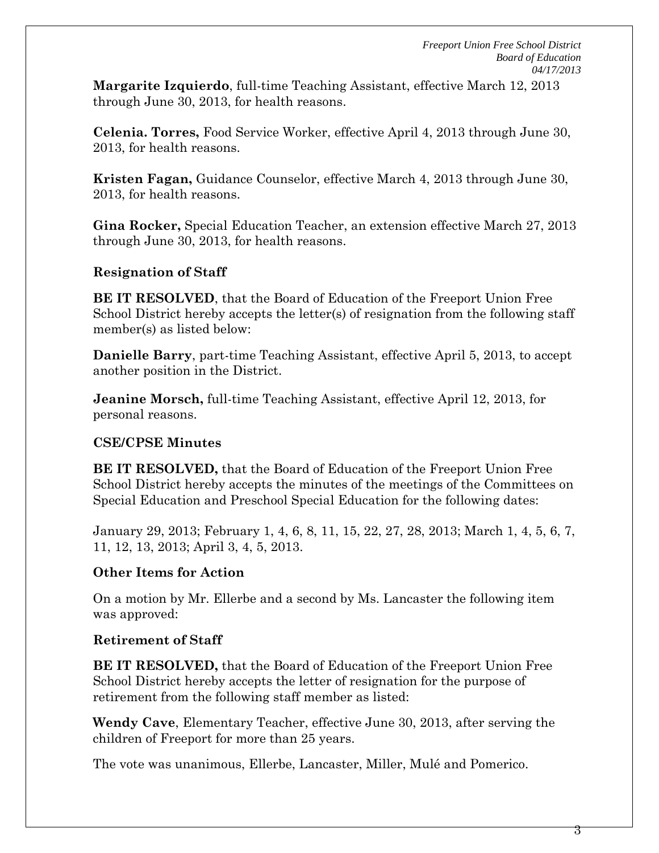**Margarite Izquierdo**, full-time Teaching Assistant, effective March 12, 2013 through June 30, 2013, for health reasons.

**Celenia. Torres,** Food Service Worker, effective April 4, 2013 through June 30, 2013, for health reasons.

**Kristen Fagan,** Guidance Counselor, effective March 4, 2013 through June 30, 2013, for health reasons.

**Gina Rocker,** Special Education Teacher, an extension effective March 27, 2013 through June 30, 2013, for health reasons.

## **Resignation of Staff**

**BE IT RESOLVED**, that the Board of Education of the Freeport Union Free School District hereby accepts the letter(s) of resignation from the following staff member(s) as listed below:

**Danielle Barry**, part-time Teaching Assistant, effective April 5, 2013, to accept another position in the District.

**Jeanine Morsch,** full-time Teaching Assistant, effective April 12, 2013, for personal reasons.

### **CSE/CPSE Minutes**

**BE IT RESOLVED,** that the Board of Education of the Freeport Union Free School District hereby accepts the minutes of the meetings of the Committees on Special Education and Preschool Special Education for the following dates:

January 29, 2013; February 1, 4, 6, 8, 11, 15, 22, 27, 28, 2013; March 1, 4, 5, 6, 7, 11, 12, 13, 2013; April 3, 4, 5, 2013.

# **Other Items for Action**

On a motion by Mr. Ellerbe and a second by Ms. Lancaster the following item was approved:

# **Retirement of Staff**

**BE IT RESOLVED,** that the Board of Education of the Freeport Union Free School District hereby accepts the letter of resignation for the purpose of retirement from the following staff member as listed:

**Wendy Cave**, Elementary Teacher, effective June 30, 2013, after serving the children of Freeport for more than 25 years.

The vote was unanimous, Ellerbe, Lancaster, Miller, Mulé and Pomerico.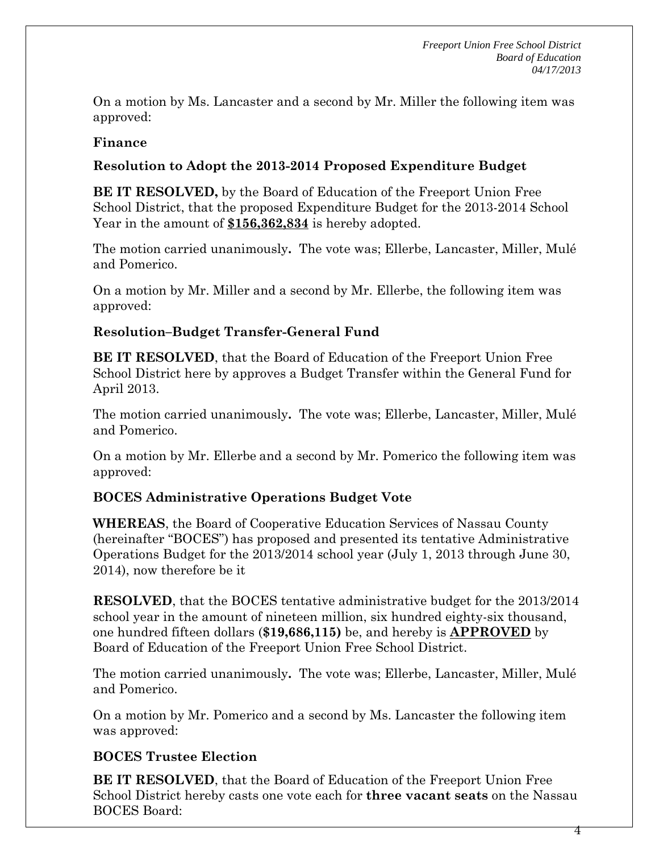On a motion by Ms. Lancaster and a second by Mr. Miller the following item was approved:

### **Finance**

## **Resolution to Adopt the 2013-2014 Proposed Expenditure Budget**

**BE IT RESOLVED,** by the Board of Education of the Freeport Union Free School District, that the proposed Expenditure Budget for the 2013-2014 School Year in the amount of **\$156,362,834** is hereby adopted.

The motion carried unanimously**.** The vote was; Ellerbe, Lancaster, Miller, Mulé and Pomerico.

On a motion by Mr. Miller and a second by Mr. Ellerbe, the following item was approved:

## **Resolution–Budget Transfer-General Fund**

**BE IT RESOLVED**, that the Board of Education of the Freeport Union Free School District here by approves a Budget Transfer within the General Fund for April 2013.

The motion carried unanimously**.** The vote was; Ellerbe, Lancaster, Miller, Mulé and Pomerico.

On a motion by Mr. Ellerbe and a second by Mr. Pomerico the following item was approved:

### **BOCES Administrative Operations Budget Vote**

**WHEREAS**, the Board of Cooperative Education Services of Nassau County (hereinafter "BOCES") has proposed and presented its tentative Administrative Operations Budget for the 2013/2014 school year (July 1, 2013 through June 30, 2014), now therefore be it

**RESOLVED**, that the BOCES tentative administrative budget for the 2013/2014 school year in the amount of nineteen million, six hundred eighty-six thousand, one hundred fifteen dollars (**\$19,686,115)** be, and hereby is **APPROVED** by Board of Education of the Freeport Union Free School District.

The motion carried unanimously**.** The vote was; Ellerbe, Lancaster, Miller, Mulé and Pomerico.

On a motion by Mr. Pomerico and a second by Ms. Lancaster the following item was approved:

# **BOCES Trustee Election**

**BE IT RESOLVED**, that the Board of Education of the Freeport Union Free School District hereby casts one vote each for **three vacant seats** on the Nassau BOCES Board:

4